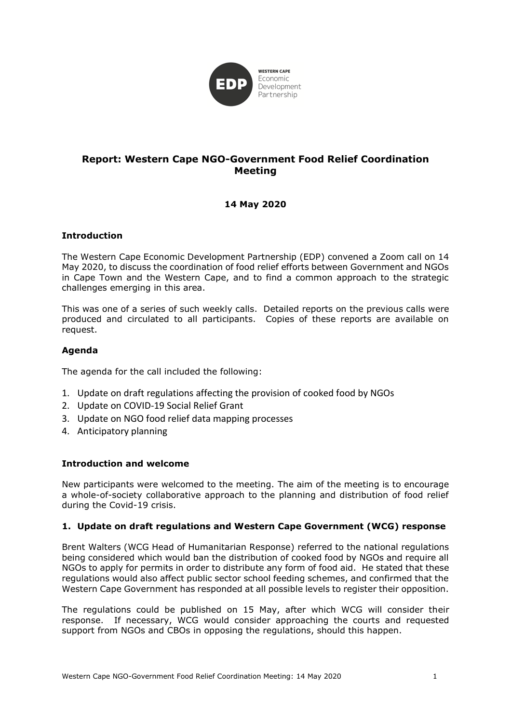

# **Report: Western Cape NGO-Government Food Relief Coordination Meeting**

# **14 May 2020**

## **Introduction**

The Western Cape Economic Development Partnership (EDP) convened a Zoom call on 14 May 2020, to discuss the coordination of food relief efforts between Government and NGOs in Cape Town and the Western Cape, and to find a common approach to the strategic challenges emerging in this area.

This was one of a series of such weekly calls. Detailed reports on the previous calls were produced and circulated to all participants. Copies of these reports are available on request.

## **Agenda**

The agenda for the call included the following:

- 1. Update on draft regulations affecting the provision of cooked food by NGOs
- 2. Update on COVID-19 Social Relief Grant
- 3. Update on NGO food relief data mapping processes
- 4. Anticipatory planning

## **Introduction and welcome**

New participants were welcomed to the meeting. The aim of the meeting is to encourage a whole-of-society collaborative approach to the planning and distribution of food relief during the Covid-19 crisis.

## **1. Update on draft regulations and Western Cape Government (WCG) response**

Brent Walters (WCG Head of Humanitarian Response) referred to the national regulations being considered which would ban the distribution of cooked food by NGOs and require all NGOs to apply for permits in order to distribute any form of food aid. He stated that these regulations would also affect public sector school feeding schemes, and confirmed that the Western Cape Government has responded at all possible levels to register their opposition.

The regulations could be published on 15 May, after which WCG will consider their response. If necessary, WCG would consider approaching the courts and requested support from NGOs and CBOs in opposing the regulations, should this happen.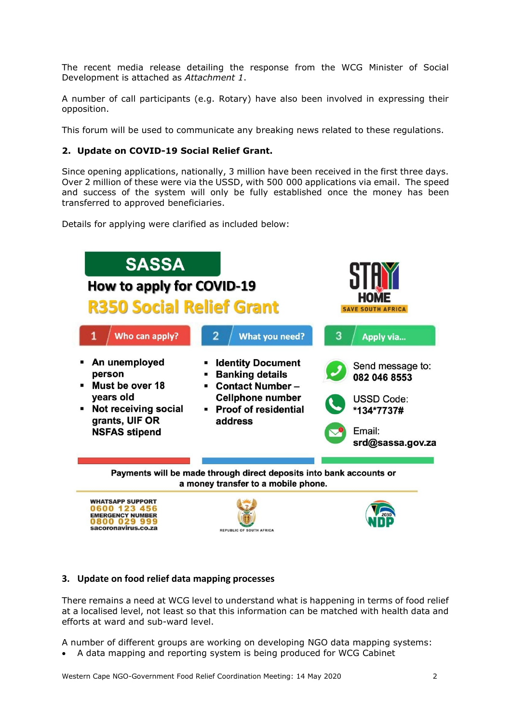The recent media release detailing the response from the WCG Minister of Social Development is attached as *Attachment 1*.

A number of call participants (e.g. Rotary) have also been involved in expressing their opposition.

This forum will be used to communicate any breaking news related to these regulations.

## **2. Update on COVID-19 Social Relief Grant.**

Since opening applications, nationally, 3 million have been received in the first three days. Over 2 million of these were via the USSD, with 500 000 applications via email. The speed and success of the system will only be fully established once the money has been transferred to approved beneficiaries.

Details for applying were clarified as included below:



## **3. Update on food relief data mapping processes**

There remains a need at WCG level to understand what is happening in terms of food relief at a localised level, not least so that this information can be matched with health data and efforts at ward and sub-ward level.

A number of different groups are working on developing NGO data mapping systems:

• A data mapping and reporting system is being produced for WCG Cabinet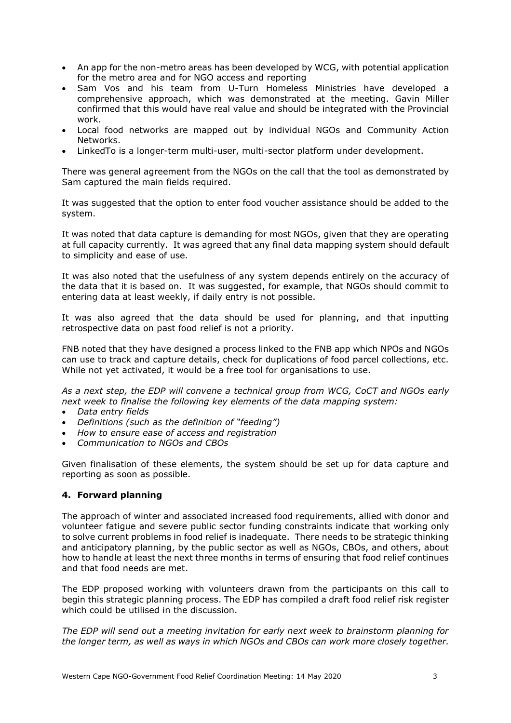- An app for the non-metro areas has been developed by WCG, with potential application for the metro area and for NGO access and reporting
- Sam Vos and his team from U-Turn Homeless Ministries have developed a comprehensive approach, which was demonstrated at the meeting. Gavin Miller confirmed that this would have real value and should be integrated with the Provincial work.
- Local food networks are mapped out by individual NGOs and Community Action Networks.
- LinkedTo is a longer-term multi-user, multi-sector platform under development.

There was general agreement from the NGOs on the call that the tool as demonstrated by Sam captured the main fields required.

It was suggested that the option to enter food voucher assistance should be added to the system.

It was noted that data capture is demanding for most NGOs, given that they are operating at full capacity currently. It was agreed that any final data mapping system should default to simplicity and ease of use.

It was also noted that the usefulness of any system depends entirely on the accuracy of the data that it is based on. It was suggested, for example, that NGOs should commit to entering data at least weekly, if daily entry is not possible.

It was also agreed that the data should be used for planning, and that inputting retrospective data on past food relief is not a priority.

FNB noted that they have designed a process linked to the FNB app which NPOs and NGOs can use to track and capture details, check for duplications of food parcel collections, etc. While not yet activated, it would be a free tool for organisations to use.

*As a next step, the EDP will convene a technical group from WCG, CoCT and NGOs early next week to finalise the following key elements of the data mapping system:*

- *Data entry fields*
- *Definitions (such as the definition of "feeding")*
- *How to ensure ease of access and registration*
- *Communication to NGOs and CBOs*

Given finalisation of these elements, the system should be set up for data capture and reporting as soon as possible.

## **4. Forward planning**

The approach of winter and associated increased food requirements, allied with donor and volunteer fatigue and severe public sector funding constraints indicate that working only to solve current problems in food relief is inadequate. There needs to be strategic thinking and anticipatory planning, by the public sector as well as NGOs, CBOs, and others, about how to handle at least the next three months in terms of ensuring that food relief continues and that food needs are met.

The EDP proposed working with volunteers drawn from the participants on this call to begin this strategic planning process. The EDP has compiled a draft food relief risk register which could be utilised in the discussion.

*The EDP will send out a meeting invitation for early next week to brainstorm planning for the longer term, as well as ways in which NGOs and CBOs can work more closely together.*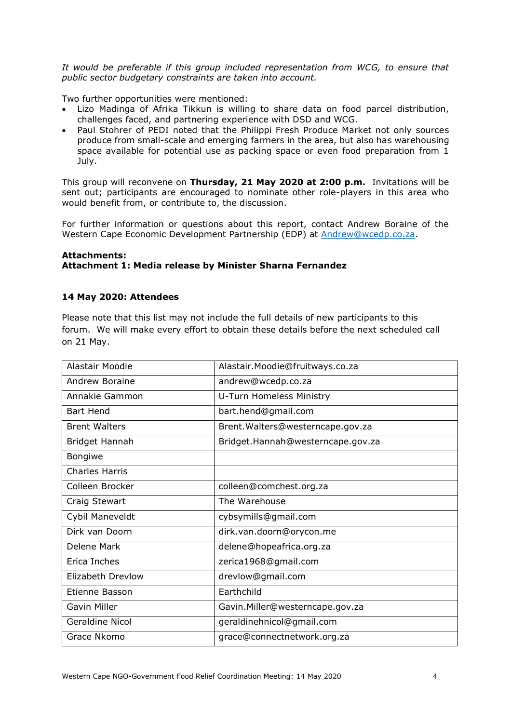*It would be preferable if this group included representation from WCG, to ensure that public sector budgetary constraints are taken into account.*

Two further opportunities were mentioned:

- Lizo Madinga of Afrika Tikkun is willing to share data on food parcel distribution, challenges faced, and partnering experience with DSD and WCG.
- Paul Stohrer of PEDI noted that the Philippi Fresh Produce Market not only sources produce from small-scale and emerging farmers in the area, but also has warehousing space available for potential use as packing space or even food preparation from 1 July.

This group will reconvene on **Thursday, 21 May 2020 at 2:00 p.m.** Invitations will be sent out; participants are encouraged to nominate other role-players in this area who would benefit from, or contribute to, the discussion.

For further information or questions about this report, contact Andrew Boraine of the Western Cape Economic Development Partnership (EDP) at [Andrew@wcedp.co.za.](mailto:Andrew@wcedp.co.za)

## **Attachments: Attachment 1: Media release by Minister Sharna Fernandez**

## **14 May 2020: Attendees**

Please note that this list may not include the full details of new participants to this forum. We will make every effort to obtain these details before the next scheduled call on 21 May.

| Alastair Moodie        | Alastair.Moodie@fruitways.co.za   |
|------------------------|-----------------------------------|
| Andrew Boraine         | andrew@wcedp.co.za                |
| Annakie Gammon         | U-Turn Homeless Ministry          |
| <b>Bart Hend</b>       | bart.hend@gmail.com               |
| <b>Brent Walters</b>   | Brent. Walters@westerncape.gov.za |
| Bridget Hannah         | Bridget.Hannah@westerncape.gov.za |
| <b>Bongiwe</b>         |                                   |
| <b>Charles Harris</b>  |                                   |
| Colleen Brocker        | colleen@comchest.org.za           |
| Craig Stewart          | The Warehouse                     |
| Cybil Maneveldt        | cybsymills@gmail.com              |
| Dirk van Doorn         | dirk.van.doorn@orycon.me          |
| Delene Mark            | delene@hopeafrica.org.za          |
| Erica Inches           | zerica1968@gmail.com              |
| Elizabeth Drevlow      | drevlow@gmail.com                 |
| Etienne Basson         | Earthchild                        |
| <b>Gavin Miller</b>    | Gavin.Miller@westerncape.gov.za   |
| <b>Geraldine Nicol</b> | geraldinehnicol@gmail.com         |
| Grace Nkomo            | grace@connectnetwork.org.za       |